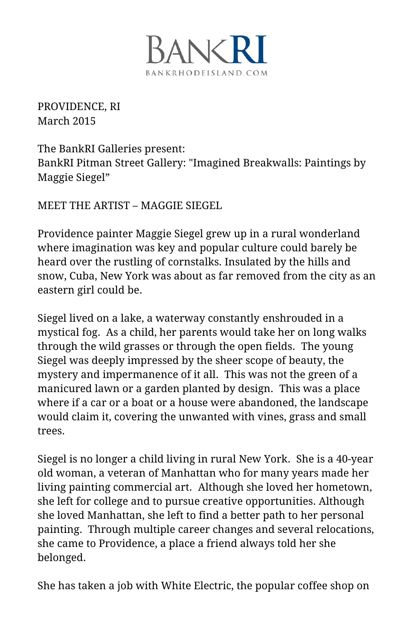

PROVIDENCE, RI March 2015

The BankRI Galleries present: BankRI Pitman Street Gallery: "Imagined Breakwalls: Paintings by Maggie Siegel"

MEET THE ARTIST – MAGGIE SIEGEL

Providence painter Maggie Siegel grew up in a rural wonderland where imagination was key and popular culture could barely be heard over the rustling of cornstalks. Insulated by the hills and snow, Cuba, New York was about as far removed from the city as an eastern girl could be.

Siegel lived on a lake, a waterway constantly enshrouded in a mystical fog. As a child, her parents would take her on long walks through the wild grasses or through the open fields. The young Siegel was deeply impressed by the sheer scope of beauty, the mystery and impermanence of it all. This was not the green of a manicured lawn or a garden planted by design. This was a place where if a car or a boat or a house were abandoned, the landscape would claim it, covering the unwanted with vines, grass and small trees.

Siegel is no longer a child living in rural New York. She is a 40-year old woman, a veteran of Manhattan who for many years made her living painting commercial art. Although she loved her hometown, she left for college and to pursue creative opportunities. Although she loved Manhattan, she left to find a better path to her personal painting. Through multiple career changes and several relocations, she came to Providence, a place a friend always told her she belonged.

She has taken a job with White Electric, the popular coffee shop on